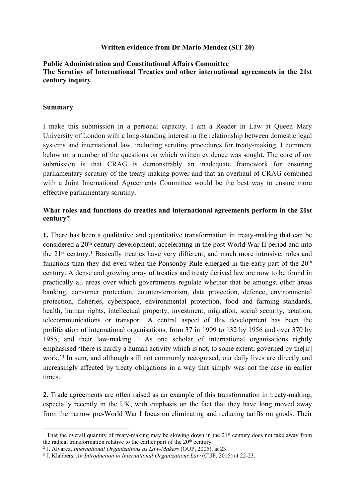#### **Written evidence from Dr Mario Mendez (SIT 20)**

### **Public Administration and Constitutional Affairs Committee The Scrutiny of International Treaties and other international agreements in the 21st century inquiry**

#### **Summary**

I make this submission in a personal capacity. I am a Reader in Law at Queen Mary University of London with a long-standing interest in the relationship between domestic legal systems and international law, including scrutiny procedures for treaty-making. I comment below on a number of the questions on which written evidence was sought. The core of my submission is that CRAG is demonstrably an inadequate framework for ensuring parliamentary scrutiny of the treaty-making power and that an overhaul of CRAG combined with a Joint International Agreements Committee would be the best way to ensure more effective parliamentary scrutiny.

### **What roles and functions do treaties and international agreements perform in the 21st century?**

**1.** There has been a qualitative and quantitative transformation in treaty-making that can be considered a 20th century development, accelerating in the post World War II period and into the 21st century.<sup>1</sup> Basically treaties have very different, and much more intrusive, roles and functions than they did even when the Ponsonby Rule emerged in the early part of the  $20<sup>th</sup>$ century. A dense and growing array of treaties and treaty derived law are now to be found in practically all areas over which governments regulate whether that be amongst other areas banking, consumer protection, counter-terrorism, data protection, defence, environmental protection, fisheries, cyberspace, environmental protection, food and farming standards, health, human rights, intellectual property, investment, migration, social security, taxation, telecommunications or transport. A central aspect of this development has been the proliferation of international organisations, from 37 in 1909 to 132 by 1956 and over 370 by 1985, and their law-making. <sup>2</sup> As one scholar of international organisations rightly emphasised 'there is hardly a human activity which is not, to some extent, governed by the [ir] work.<sup>3</sup> In sum, and although still not commonly recognised, our daily lives are directly and increasingly affected by treaty obligations in a way that simply was not the case in earlier times.

**2.** Trade agreements are often raised as an example of this transformation in treaty-making, especially recently in the UK, with emphasis on the fact that they have long moved away from the narrow pre-World War I focus on eliminating and reducing tariffs on goods. Their

<sup>&</sup>lt;sup>1</sup> That the overall quantity of treaty-making may be slowing down in the 21<sup>st</sup> century does not take away from the radical transformation relative to the earlier part of the  $20<sup>th</sup>$  century.

<sup>2</sup> J. Alvarez, *International Organizations as Law-Makers* (OUP, 2005), at 23.

<sup>3</sup> J. Klabbers, *An Introduction to International Organizations Law* (CUP, 2015) at 22-23.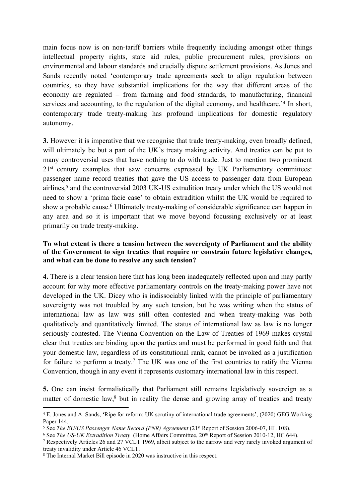main focus now is on non-tariff barriers while frequently including amongst other things intellectual property rights, state aid rules, public procurement rules, provisions on environmental and labour standards and crucially dispute settlement provisions. As Jones and Sands recently noted 'contemporary trade agreements seek to align regulation between countries, so they have substantial implications for the way that different areas of the economy are regulated – from farming and food standards, to manufacturing, financial services and accounting, to the regulation of the digital economy, and healthcare.<sup>24</sup> In short, contemporary trade treaty-making has profound implications for domestic regulatory autonomy.

**3.** However it is imperative that we recognise that trade treaty-making, even broadly defined, will ultimately be but a part of the UK's treaty making activity. And treaties can be put to many controversial uses that have nothing to do with trade. Just to mention two prominent 21<sup>st</sup> century examples that saw concerns expressed by UK Parliamentary committees: passenger name record treaties that gave the US access to passenger data from European airlines,<sup>5</sup> and the controversial 2003 UK-US extradition treaty under which the US would not need to show a 'prima facie case' to obtain extradition whilst the UK would be required to show a probable cause.<sup>6</sup> Ultimately treaty-making of considerable significance can happen in any area and so it is important that we move beyond focussing exclusively or at least primarily on trade treaty-making.

### **To what extent is there a tension between the sovereignty of Parliament and the ability of the Government to sign treaties that require or constrain future legislative changes, and what can be done to resolve any such tension?**

**4.** There is a clear tension here that has long been inadequately reflected upon and may partly account for why more effective parliamentary controls on the treaty-making power have not developed in the UK. Dicey who is indissociably linked with the principle of parliamentary sovereignty was not troubled by any such tension, but he was writing when the status of international law as law was still often contested and when treaty-making was both qualitatively and quantitatively limited. The status of international law as law is no longer seriously contested. The Vienna Convention on the Law of Treaties of 1969 makes crystal clear that treaties are binding upon the parties and must be performed in good faith and that your domestic law, regardless of its constitutional rank, cannot be invoked as a justification for failure to perform a treaty.<sup>7</sup> The UK was one of the first countries to ratify the Vienna Convention, though in any event it represents customary international law in this respect.

**5.** One can insist formalistically that Parliament still remains legislatively sovereign as a matter of domestic law, $<sup>8</sup>$  but in reality the dense and growing array of treaties and treaty</sup>

<sup>4</sup> E. Jones and A. Sands, 'Ripe for reform: UK scrutiny of international trade agreements', (2020) GEG Working Paper 144.

<sup>5</sup> See *The EU/US Passenger Name Record (PNR) Agreement* (21st Report of Session 2006-07, HL 108).

<sup>6</sup> See *The US-UK Extradition Treaty* (Home Affairs Committee, 20th Report of Session 2010-12, HC 644).

<sup>7</sup> Respectively Articles 26 and 27 VCLT 1969, albeit subject to the narrow and very rarely invoked argument of treaty invalidity under Article 46 VCLT.

<sup>8</sup> The Internal Market Bill episode in 2020 was instructive in this respect.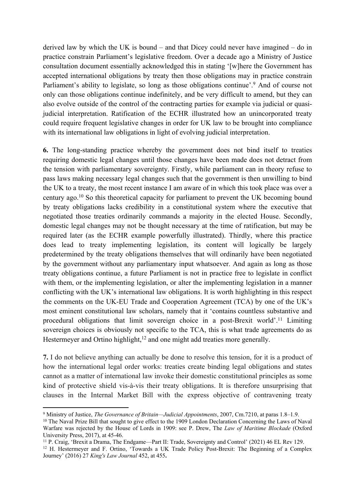derived law by which the UK is bound – and that Dicey could never have imagined – do in practice constrain Parliament's legislative freedom. Over a decade ago a Ministry of Justice consultation document essentially acknowledged this in stating '[w]here the Government has accepted international obligations by treaty then those obligations may in practice constrain Parliament's ability to legislate, so long as those obligations continue'.<sup>9</sup> And of course not only can those obligations continue indefinitely, and be very difficult to amend, but they can also evolve outside of the control of the contracting parties for example via judicial or quasijudicial interpretation. Ratification of the ECHR illustrated how an unincorporated treaty could require frequent legislative changes in order for UK law to be brought into compliance with its international law obligations in light of evolving judicial interpretation.

**6.** The long-standing practice whereby the government does not bind itself to treaties requiring domestic legal changes until those changes have been made does not detract from the tension with parliamentary sovereignty. Firstly, while parliament can in theory refuse to pass laws making necessary legal changes such that the government is then unwilling to bind the UK to a treaty, the most recent instance I am aware of in which this took place was over a century ago.<sup>10</sup> So this theoretical capacity for parliament to prevent the UK becoming bound by treaty obligations lacks credibility in a constitutional system where the executive that negotiated those treaties ordinarily commands a majority in the elected House. Secondly, domestic legal changes may not be thought necessary at the time of ratification, but may be required later (as the ECHR example powerfully illustrated). Thirdly, where this practice does lead to treaty implementing legislation, its content will logically be largely predetermined by the treaty obligations themselves that will ordinarily have been negotiated by the government without any parliamentary input whatsoever. And again as long as those treaty obligations continue, a future Parliament is not in practice free to legislate in conflict with them, or the implementing legislation, or alter the implementing legislation in a manner conflicting with the UK's international law obligations. It is worth highlighting in this respect the comments on the UK-EU Trade and Cooperation Agreement (TCA) by one of the UK's most eminent constitutional law scholars, namely that it 'contains countless substantive and procedural obligations that limit sovereign choice in a post-Brexit world'.<sup>11</sup> Limiting sovereign choices is obviously not specific to the TCA, this is what trade agreements do as Hestermeyer and Ortino highlight,<sup>12</sup> and one might add treaties more generally.

**7.** I do not believe anything can actually be done to resolve this tension, for it is a product of how the international legal order works: treaties create binding legal obligations and states cannot as a matter of international law invoke their domestic constitutional principles as some kind of protective shield vis-à-vis their treaty obligations. It is therefore unsurprising that clauses in the Internal Market Bill with the express objective of contravening treaty

<sup>9</sup> Ministry of Justice, *The Governance of Britain—Judicial Appointments*, 2007, Cm.7210, at paras 1.8–1.9.

<sup>&</sup>lt;sup>10</sup> The Naval Prize Bill that sought to give effect to the 1909 London Declaration Concerning the Laws of Naval Warfare was rejected by the House of Lords in 1909: see P. Drew, The *Law of Maritime Blockade* (Oxford University Press, 2017), at 45-46.

<sup>11</sup> P. Craig, 'Brexit a Drama, The Endgame—Part II: Trade, Sovereignty and Control' (2021) 46 EL Rev 129.

<sup>&</sup>lt;sup>12</sup> H. Hestermeyer and F. Ortino, 'Towards a UK Trade Policy Post-Brexit: The Beginning of a Complex Journey' (2016) 27 *King's Law Journal* 452, at 455**.**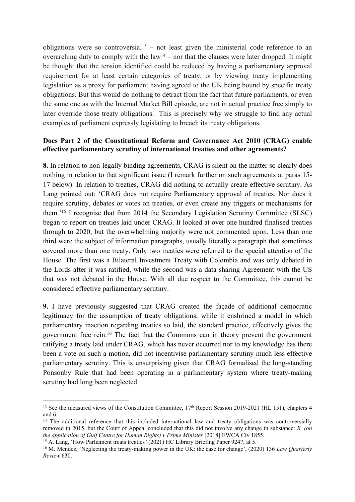obligations were so controversial<sup>13</sup> – not least given the ministerial code reference to an overarching duty to comply with the  $law<sup>14</sup>$  – nor that the clauses were later dropped. It might be thought that the tension identified could be reduced by having a parliamentary approval requirement for at least certain categories of treaty, or by viewing treaty implementing legislation as a proxy for parliament having agreed to the UK being bound by specific treaty obligations. But this would do nothing to detract from the fact that future parliaments, or even the same one as with the Internal Market Bill episode, are not in actual practice free simply to later override those treaty obligations. This is precisely why we struggle to find any actual examples of parliament expressly legislating to breach its treaty obligations.

# **Does Part 2 of the Constitutional Reform and Governance Act 2010 (CRAG) enable effective parliamentary scrutiny of international treaties and other agreements?**

**8.** In relation to non-legally binding agreements, CRAG is silent on the matter so clearly does nothing in relation to that significant issue (I remark further on such agreements at paras 15- 17 below). In relation to treaties, CRAG did nothing to actually create effective scrutiny. As Lang pointed out: 'CRAG does not require Parliamentary approval of treaties. Nor does it require scrutiny, debates or votes on treaties, or even create any triggers or mechanisms for them.'<sup>15</sup> I recognise that from 2014 the Secondary Legislation Scrutiny Committee (SLSC) began to report on treaties laid under CRAG. It looked at over one hundred finalised treaties through to 2020, but the overwhelming majority were not commented upon. Less than one third were the subject of information paragraphs, usually literally a paragraph that sometimes covered more than one treaty. Only two treaties were referred to the special attention of the House. The first was a Bilateral Investment Treaty with Colombia and was only debated in the Lords after it was ratified, while the second was a data sharing Agreement with the US that was not debated in the House. With all due respect to the Committee, this cannot be considered effective parliamentary scrutiny.

**9.** I have previously suggested that CRAG created the façade of additional democratic legitimacy for the assumption of treaty obligations, while it enshrined a model in which parliamentary inaction regarding treaties so laid, the standard practice, effectively gives the government free rein.<sup>16</sup> The fact that the Commons can in theory prevent the government ratifying a treaty laid under CRAG, which has never occurred nor to my knowledge has there been a vote on such a motion, did not incentivise parliamentary scrutiny much less effective parliamentary scrutiny. This is unsurprising given that CRAG formalised the long-standing Ponsonby Rule that had been operating in a parliamentary system where treaty-making scrutiny had long been neglected.

<sup>&</sup>lt;sup>13</sup> See the measured views of the Constitution Committee, 17<sup>th</sup> Report Session 2019-2021 (HL 151), chapters 4 and 6.

<sup>&</sup>lt;sup>14</sup> The additional reference that this included international law and treaty obligations was controversially removed in 2015, but the Court of Appeal concluded that this did not involve any change in substance: *R. (on the application of Gulf Centre for Human Rights) v Prime Minister* [2018] EWCA Civ 1855.

<sup>15</sup> A. Lang, 'How Parliament treats treaties*'* (2021) HC Library Briefing Paper 9247, at 5.

<sup>16</sup> M. Mendez, 'Neglecting the treaty-making power in the UK: the case for change', (2020) 136 *Law Quarterly Review* 630.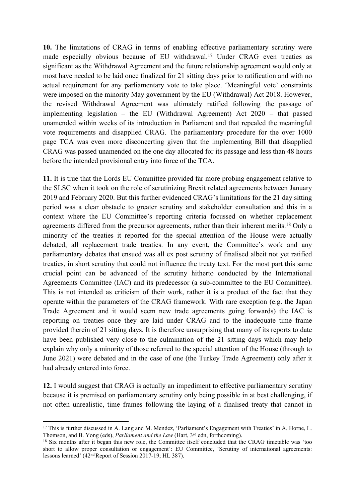**10.** The limitations of CRAG in terms of enabling effective parliamentary scrutiny were made especially obvious because of EU withdrawal.<sup>17</sup> Under CRAG even treaties as significant as the Withdrawal Agreement and the future relationship agreement would only at most have needed to be laid once finalized for 21 sitting days prior to ratification and with no actual requirement for any parliamentary vote to take place. 'Meaningful vote' constraints were imposed on the minority May government by the EU (Withdrawal) Act 2018. However, the revised Withdrawal Agreement was ultimately ratified following the passage of implementing legislation – the EU (Withdrawal Agreement) Act 2020 – that passed unamended within weeks of its introduction in Parliament and that repealed the meaningful vote requirements and disapplied CRAG. The parliamentary procedure for the over 1000 page TCA was even more disconcerting given that the implementing Bill that disapplied CRAG was passed unamended on the one day allocated for its passage and less than 48 hours before the intended provisional entry into force of the TCA.

**11.** It is true that the Lords EU Committee provided far more probing engagement relative to the SLSC when it took on the role of scrutinizing Brexit related agreements between January 2019 and February 2020. But this further evidenced CRAG's limitations for the 21 day sitting period was a clear obstacle to greater scrutiny and stakeholder consultation and this in a context where the EU Committee's reporting criteria focussed on whether replacement agreements differed from the precursor agreements, rather than their inherent merits.<sup>18</sup> Only a minority of the treaties it reported for the special attention of the House were actually debated, all replacement trade treaties. In any event, the Committee's work and any parliamentary debates that ensued was all ex post scrutiny of finalised albeit not yet ratified treaties, in short scrutiny that could not influence the treaty text. For the most part this same crucial point can be advanced of the scrutiny hitherto conducted by the International Agreements Committee (IAC) and its predecessor (a sub-committee to the EU Committee). This is not intended as criticism of their work, rather it is a product of the fact that they operate within the parameters of the CRAG framework. With rare exception (e.g. the Japan Trade Agreement and it would seem new trade agreements going forwards) the IAC is reporting on treaties once they are laid under CRAG and to the inadequate time frame provided therein of 21 sitting days. It is therefore unsurprising that many of its reports to date have been published very close to the culmination of the 21 sitting days which may help explain why only a minority of those referred to the special attention of the House (through to June 2021) were debated and in the case of one (the Turkey Trade Agreement) only after it had already entered into force.

**12.** I would suggest that CRAG is actually an impediment to effective parliamentary scrutiny because it is premised on parliamentary scrutiny only being possible in at best challenging, if not often unrealistic, time frames following the laying of a finalised treaty that cannot in

<sup>17</sup> This is further discussed in A. Lang and M. Mendez, 'Parliament's Engagement with Treaties' in A. Horne, L. Thomson, and B. Yong (eds), *Parliament and the Law* (Hart, 3 rd edn, forthcoming).

<sup>&</sup>lt;sup>18</sup> Six months after it began this new role, the Committee itself concluded that the CRAG timetable was 'too short to allow proper consultation or engagement': EU Committee, 'Scrutiny of international agreements: lessons learned'  $(42<sup>nd</sup>$  Report of Session 2017-19; HL 387).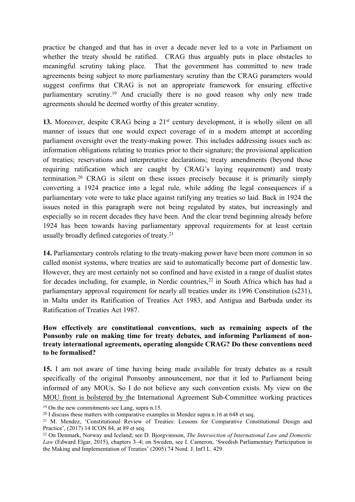practice be changed and that has in over a decade never led to a vote in Parliament on whether the treaty should be ratified. CRAG thus arguably puts in place obstacles to meaningful scrutiny taking place. That the government has committed to new trade agreements being subject to more parliamentary scrutiny than the CRAG parameters would suggest confirms that CRAG is not an appropriate framework for ensuring effective parliamentary scrutiny.<sup>19</sup> And crucially there is no good reason why only new trade agreements should be deemed worthy of this greater scrutiny.

13. Moreover, despite CRAG being a 21<sup>st</sup> century development, it is wholly silent on all manner of issues that one would expect coverage of in a modern attempt at according parliament oversight over the treaty-making power. This includes addressing issues such as: information obligations relating to treaties prior to their signature; the provisional application of treaties; reservations and interpretative declarations; treaty amendments (beyond those requiring ratification which are caught by CRAG's laying requirement) and treaty termination.<sup>20</sup> CRAG is silent on these issues precisely because it is primarily simply converting a 1924 practice into a legal rule, while adding the legal consequences if a parliamentary vote were to take place against ratifying any treaties so laid. Back in 1924 the issues noted in this paragraph were not being regulated by states, but increasingly and especially so in recent decades they have been. And the clear trend beginning already before 1924 has been towards having parliamentary approval requirements for at least certain usually broadly defined categories of treaty.<sup>21</sup>

**14.** Parliamentary controls relating to the treaty-making power have been more common in so called monist systems, where treaties are said to automatically become part of domestic law. However, they are most certainly not so confined and have existed in a range of dualist states for decades including, for example, in Nordic countries,  $22$  in South Africa which has had a parliamentary approval requirement for nearly all treaties under its 1996 Constitution (s231), in Malta under its Ratification of Treaties Act 1983, and Antigua and Barbuda under its Ratification of Treaties Act 1987.

# **How effectively are constitutional conventions, such as remaining aspects of the Ponsonby rule on making time for treaty debates, and informing Parliament of nontreaty international agreements, operating alongside CRAG? Do these conventions need to be formalised?**

**15.** I am not aware of time having being made available for treaty debates as a result specifically of the original Ponsonby announcement, nor that it led to Parliament being informed of any MOUs. So I do not believe any such convention exists. My view on the MOU front is bolstered by the International Agreement Sub-Committee working practices

<sup>19</sup> On the new commitments see Lang, supra n.15.

 $20$  I discuss these matters with comparative examples in Mendez supra n.16 at 648 et seq.

<sup>&</sup>lt;sup>21</sup> M. Mendez, 'Constitutional Review of Treaties: Lessons for Comparative Constitutional Design and Practice', (2017) 14 ICON 84, at 89 et seq.

<sup>22</sup> On Denmark, Norway and Iceland; see D. Bjorgvinsson, *The Intersection of International Law and Domestic Law* (Edward Elgar, 2015), chapters 3–4; on Sweden, see I. Cameron, 'Swedish Parliamentary Participation in the Making and Implementation of Treaties' (2005) 74 Nord. J. Int'l L. 429.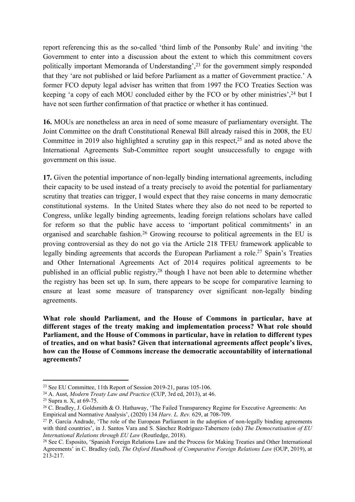report referencing this as the so-called 'third limb of the Ponsonby Rule' and inviting 'the Government to enter into a discussion about the extent to which this commitment covers politically important Memoranda of Understanding',<sup>23</sup> for the government simply responded that they 'are not published or laid before Parliament as a matter of Government practice.' A former FCO deputy legal adviser has written that from 1997 the FCO Treaties Section was keeping 'a copy of each MOU concluded either by the FCO or by other ministries', <sup>24</sup> but I have not seen further confirmation of that practice or whether it has continued.

**16.** MOUs are nonetheless an area in need of some measure of parliamentary oversight. The Joint Committee on the draft Constitutional Renewal Bill already raised this in 2008, the EU Committee in 2019 also highlighted a scrutiny gap in this respect,<sup>25</sup> and as noted above the International Agreements Sub-Committee report sought unsuccessfully to engage with government on this issue.

**17.** Given the potential importance of non-legally binding international agreements, including their capacity to be used instead of a treaty precisely to avoid the potential for parliamentary scrutiny that treaties can trigger, I would expect that they raise concerns in many democratic constitutional systems. In the United States where they also do not need to be reported to Congress, unlike legally binding agreements, leading foreign relations scholars have called for reform so that the public have access to 'important political commitments' in an organised and searchable fashion.<sup>26</sup> Growing recourse to political agreements in the EU is proving controversial as they do not go via the Article 218 TFEU framework applicable to legally binding agreements that accords the European Parliament a role.<sup>27</sup> Spain's Treaties and Other International Agreements Act of 2014 requires political agreements to be published in an official public registry,<sup>28</sup> though I have not been able to determine whether the registry has been set up. In sum, there appears to be scope for comparative learning to ensure at least some measure of transparency over significant non-legally binding agreements.

**What role should Parliament, and the House of Commons in particular, have at different stages of the treaty making and implementation process? What role should Parliament, and the House of Commons in particular, have in relation to different types of treaties, and on what basis? Given that international agreements affect people's lives, how can the House of Commons increase the democratic accountability of international agreements?**

<sup>23</sup> See EU Committee, 11th Report of Session 2019-21, paras 105-106.

<sup>24</sup> A. Aust, *Modern Treaty Law and Practice* (CUP, 3rd ed, 2013), at 46.

<sup>25</sup> Supra n. X, at 69-75.

<sup>26</sup> C. Bradley, J. Goldsmith & O. Hathaway, 'The Failed Transparency Regime for Executive Agreements: An Empirical and Normative Analysis', (2020) 134 *Harv. L. Rev.* 629, at 708-709.

 $27$  P. García Andrade, 'The role of the European Parliament in the adoption of non-legally binding agreements with third countries', in J. Santos Vara and S. Sánchez Rodríguez-Tabernero (eds) *The Democratisation of EU International Relations through EU Law* (Routledge, 2018).

<sup>28</sup> See C. Esposito, 'Spanish Foreign Relations Law and the Process for Making Treaties and Other International Agreements' in C. Bradley (ed), *The Oxford Handbook of Comparative Foreign Relations Law* (OUP, 2019), at 213-217.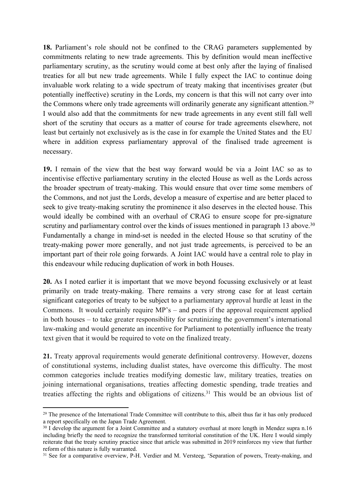**18.** Parliament's role should not be confined to the CRAG parameters supplemented by commitments relating to new trade agreements. This by definition would mean ineffective parliamentary scrutiny, as the scrutiny would come at best only after the laying of finalised treaties for all but new trade agreements. While I fully expect the IAC to continue doing invaluable work relating to a wide spectrum of treaty making that incentivises greater (but potentially ineffective) scrutiny in the Lords, my concern is that this will not carry over into the Commons where only trade agreements will ordinarily generate any significant attention.<sup>29</sup> I would also add that the commitments for new trade agreements in any event still fall well short of the scrutiny that occurs as a matter of course for trade agreements elsewhere, not least but certainly not exclusively as is the case in for example the United States and the EU where in addition express parliamentary approval of the finalised trade agreement is necessary.

**19.** I remain of the view that the best way forward would be via a Joint IAC so as to incentivise effective parliamentary scrutiny in the elected House as well as the Lords across the broader spectrum of treaty-making. This would ensure that over time some members of the Commons, and not just the Lords, develop a measure of expertise and are better placed to seek to give treaty-making scrutiny the prominence it also deserves in the elected house. This would ideally be combined with an overhaul of CRAG to ensure scope for pre-signature scrutiny and parliamentary control over the kinds of issues mentioned in paragraph 13 above.<sup>30</sup> Fundamentally a change in mind-set is needed in the elected House so that scrutiny of the treaty-making power more generally, and not just trade agreements, is perceived to be an important part of their role going forwards. A Joint IAC would have a central role to play in this endeavour while reducing duplication of work in both Houses.

**20.** As I noted earlier it is important that we move beyond focussing exclusively or at least primarily on trade treaty-making. There remains a very strong case for at least certain significant categories of treaty to be subject to a parliamentary approval hurdle at least in the Commons. It would certainly require MP's – and peers if the approval requirement applied in both houses – to take greater responsibility for scrutinizing the government's international law-making and would generate an incentive for Parliament to potentially influence the treaty text given that it would be required to vote on the finalized treaty.

**21.** Treaty approval requirements would generate definitional controversy. However, dozens of constitutional systems, including dualist states, have overcome this difficulty. The most common categories include treaties modifying domestic law, military treaties, treaties on joining international organisations, treaties affecting domestic spending, trade treaties and treaties affecting the rights and obligations of citizens.<sup>31</sup> This would be an obvious list of

<sup>&</sup>lt;sup>29</sup> The presence of the International Trade Committee will contribute to this, albeit thus far it has only produced a report specifically on the Japan Trade Agreement.

<sup>&</sup>lt;sup>30</sup> I develop the argument for a Joint Committee and a statutory overhaul at more length in Mendez supra n.16 including briefly the need to recognize the transformed territorial constitution of the UK. Here I would simply reiterate that the treaty scrutiny practice since that article was submitted in 2019 reinforces my view that further reform of this nature is fully warranted.

<sup>&</sup>lt;sup>31</sup> See for a comparative overview, P-H. Verdier and M. Versteeg, 'Separation of powers, Treaty-making, and